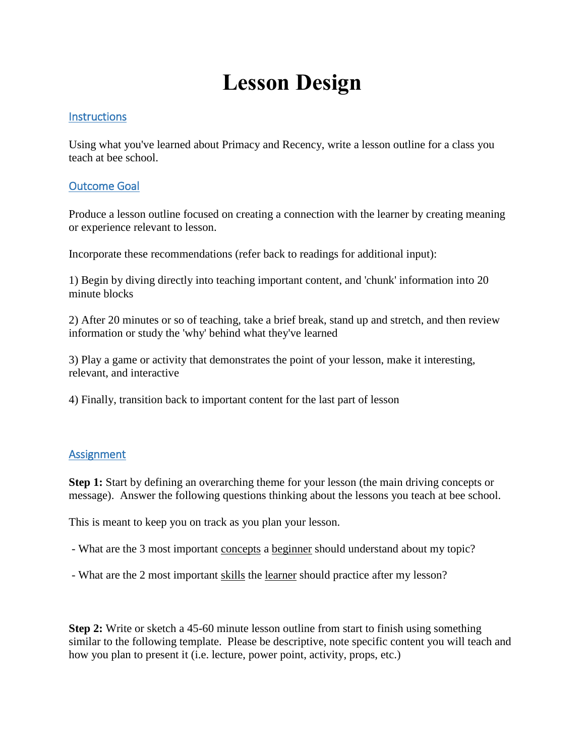# **Lesson Design**

## **Instructions**

Using what you've learned about Primacy and Recency, write a lesson outline for a class you teach at bee school.

# Outcome Goal

Produce a lesson outline focused on creating a connection with the learner by creating meaning or experience relevant to lesson.

Incorporate these recommendations (refer back to readings for additional input):

1) Begin by diving directly into teaching important content, and 'chunk' information into 20 minute blocks

2) After 20 minutes or so of teaching, take a brief break, stand up and stretch, and then review information or study the 'why' behind what they've learned

3) Play a game or activity that demonstrates the point of your lesson, make it interesting, relevant, and interactive

4) Finally, transition back to important content for the last part of lesson

## Assignment

**Step 1:** Start by defining an overarching theme for your lesson (the main driving concepts or message). Answer the following questions thinking about the lessons you teach at bee school.

This is meant to keep you on track as you plan your lesson.

- What are the 3 most important concepts a beginner should understand about my topic?
- What are the 2 most important skills the learner should practice after my lesson?

**Step 2:** Write or sketch a 45-60 minute lesson outline from start to finish using something similar to the following template. Please be descriptive, note specific content you will teach and how you plan to present it (i.e. lecture, power point, activity, props, etc.)